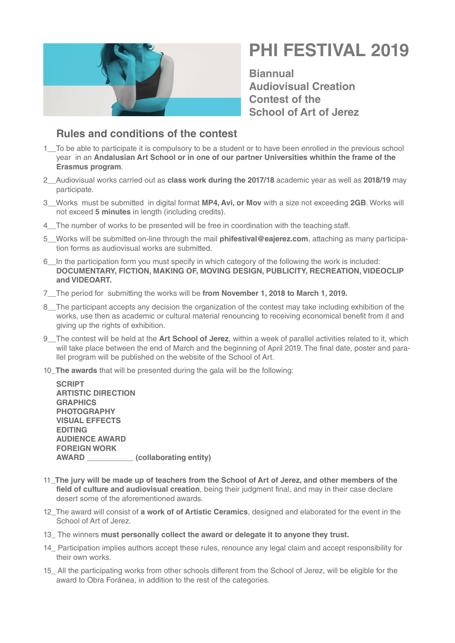

## **PHI FESTIVAL 2019**

**Biannual Audiovisual Creation Contest of the School of Art of Jerez**

## **Rules and conditions of the contest**

- 1\_\_To be able to participate it is compulsory to be a student or to have been enrolled in the previous school year in an **Andalusian Art School or [in one of our partner Universities whithin the frame of the](http://web.escueladeartedejerez.es/erasmus-2/movilidad-alumnos/outgoing/universidades-con-acuerdos/)  [Erasmus program](http://web.escueladeartedejerez.es/erasmus-2/movilidad-alumnos/outgoing/universidades-con-acuerdos/)**.
- 2\_\_Audiovisual works carried out as **class work during the 2017/18** academic year as well as **2018/19** may participate.
- 3\_\_Works must be submitted in digital format **MP4, Avi, or Mov** with a size not exceeding **2GB**. Works will not exceed **5 minutes** in length (including credits).
- 4 The number of works to be presented will be free in coordination with the teaching staff.
- 5\_\_Works will be submitted on-line through the mail **phifestival@eajerez.com**, attaching as many participation forms as audiovisual works are submitted.
- 6\_\_In the participation form you must specify in which category of the following the work is included: **DOCUMENTARY, FICTION, MAKING OF, MOVING DESIGN, PUBLICITY, RECREATION, VIDEOCLIP and VIDEOART.**
- 7\_\_The period for submitting the works will be **from November 1, 2018 to March 1, 2019.**
- 8 The participant accepts any decision the organization of the contest may take including exhibition of the works, use then as academic or cultural material renouncing to receiving economical benefit from it and giving up the rights of exhibition.
- 9\_\_The contest will be held at the **Art School of Jerez**, within a week of parallel activities related to it, which will take place between the end of March and the beginning of April 2019. The final date, poster and parallel program will be published on the website of the School of Art.
- 10\_**The awards** that will be presented during the gala will be the following:

**SCRIPT ARTISTIC DIRECTION GRAPHICS PHOTOGRAPHY VISUAL EFFECTS EDITING AUDIENCE AWARD FOREIGN WORK AWARD \_\_\_\_\_\_\_\_\_\_\_ (collaborating entity)**

- 11\_**The jury will be made up of teachers from the School of Art of Jerez, and other members of the field of culture and audiovisual creation**, being their judgment final, and may in their case declare desert some of the aforementioned awards.
- 12\_The award will consist of **a work of of Artistic Ceramics**, designed and elaborated for the event in the School of Art of Jerez.
- 13\_ The winners **must personally collect the award or delegate it to anyone they trust.**
- 14 Participation implies authors accept these rules, renounce any legal claim and accept responsibility for their own works.
- 15\_ All the participating works from other schools different from the School of Jerez, will be eligible for the award to Obra Foránea, in addition to the rest of the categories.